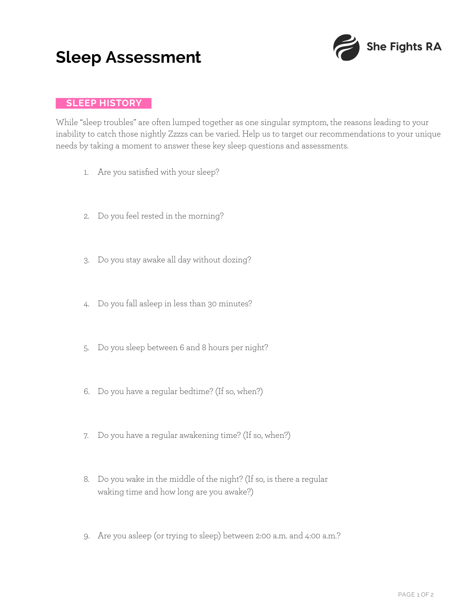## **Sleep Assessment**



## **SLEEP HISTORY**

While "sleep troubles" are often lumped together as one singular symptom, the reasons leading to your inability to catch those nightly Zzzzs can be varied. Help us to target our recommendations to your unique needs by taking a moment to answer these key sleep questions and assessments.

- 1. Are you satisfied with your sleep?
- 2. Do you feel rested in the morning?
- 3. Do you stay awake all day without dozing?
- 4. Do you fall asleep in less than 30 minutes?
- 5. Do you sleep between 6 and 8 hours per night?
- 6. Do you have a regular bedtime? (If so, when?)
- 7. Do you have a regular awakening time? (If so, when?)
- 8. Do you wake in the middle of the night? (If so, is there a regular waking time and how long are you awake?)
- 9. Are you asleep (or trying to sleep) between 2:00 a.m. and 4:00 a.m.?